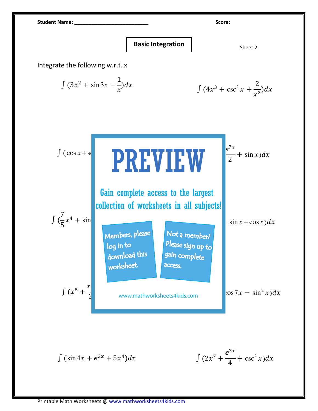